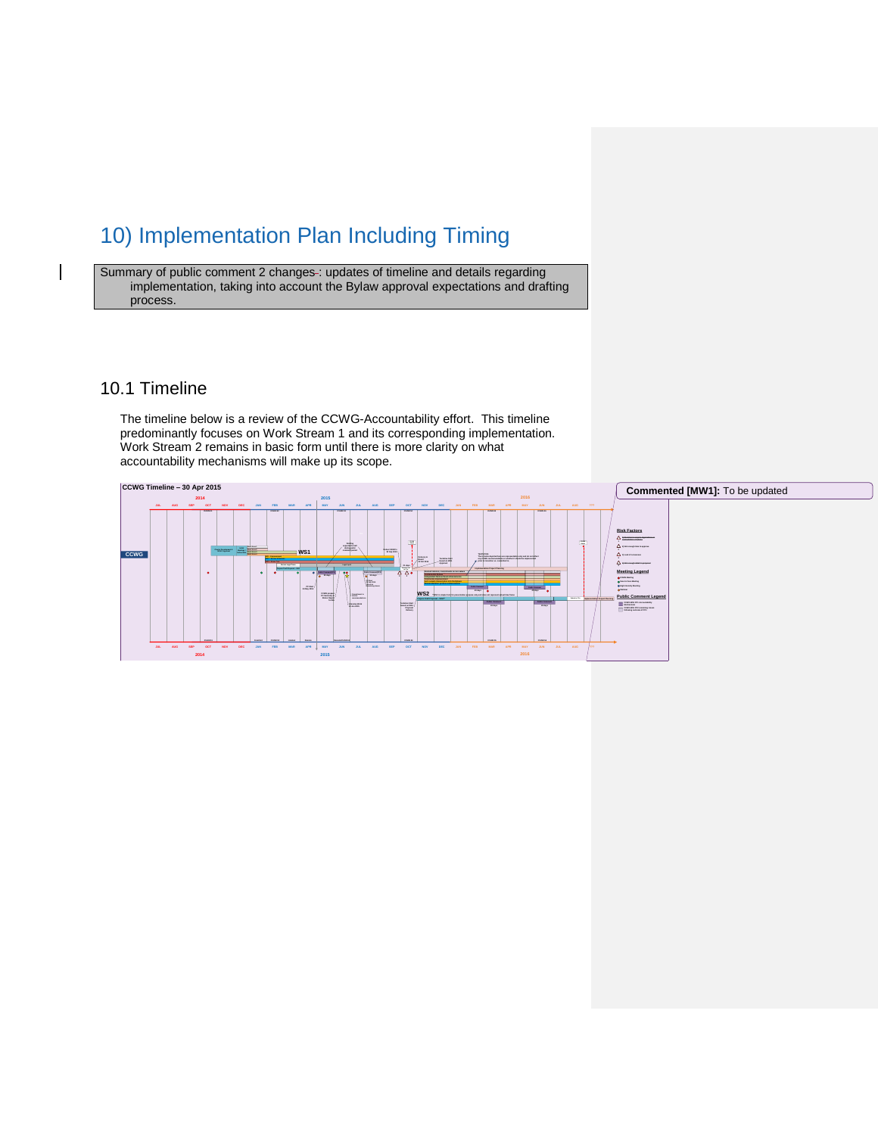## 10) Implementation Plan Including Timing

Summary of public comment 2 changes-: updates of timeline and details regarding implementation, taking into account the Bylaw approval expectations and drafting process.

## 10.1 Timeline

The timeline below is a review of the CCWG-Accountability effort. This timeline predominantly focuses on Work Stream 1 and its corresponding implementation. Work Stream 2 remains in basic form until there is more clarity on what accountability mechanisms will make up its scope.

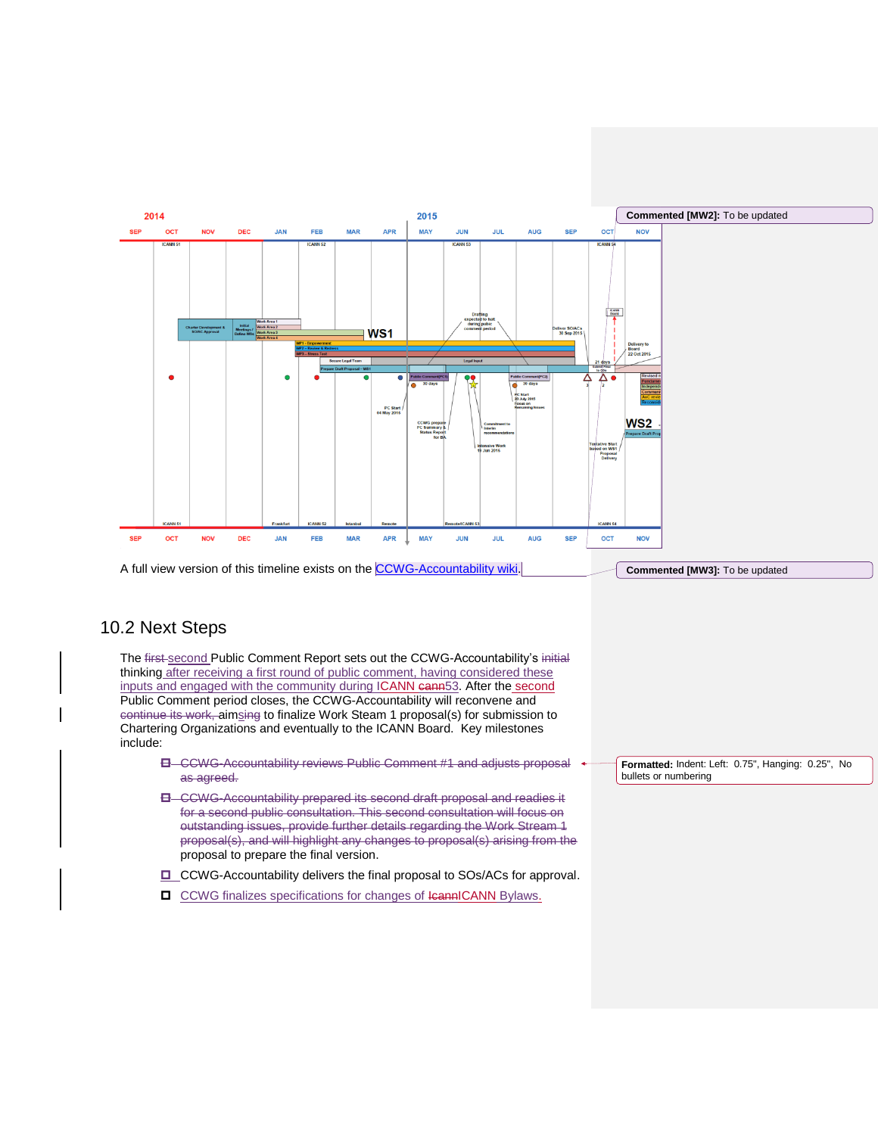

## 10.2 Next Steps

The first-second Public Comment Report sets out the CCWG-Accountability's initial thinking after receiving a first round of public comment, having considered these inputs and engaged with the community during ICANN cann53. After the second Public Comment period closes, the CCWG-Accountability will reconvene and continue its work, aimsing to finalize Work Steam 1 proposal(s) for submission to Chartering Organizations and eventually to the ICANN Board. Key milestones include:

- CCWG-Accountability reviews Public Comment #1 and adjusts proposal as agreed.
- **E** CCWG-Accountability prepared its second draft proposal and readies it for a second public consultation. This second consultation will focus on outstanding issues, provide further details regarding the Work Stream 1 proposal(s), and will highlight any changes to proposal(s) arising from the proposal to prepare the final version.
- □ CCWG-Accountability delivers the final proposal to SOs/ACs for approval.
- □ CCWG finalizes specifications for changes of IcannICANN Bylaws.

**Formatted:** Indent: Left: 0.75", Hanging: 0.25", No bullets or numbering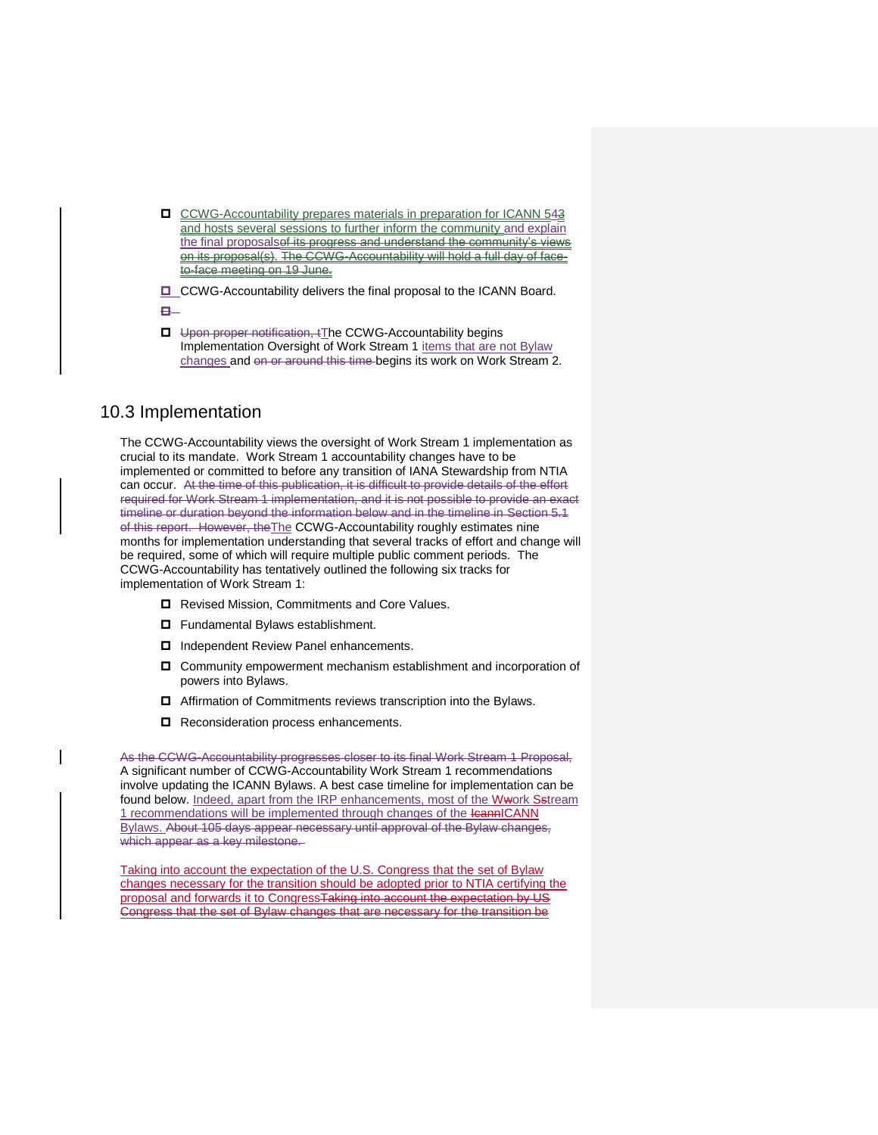CCWG-Accountability prepares materials in preparation for ICANN 543 and hosts several sessions to further inform the community and explain the final proposalset its progress and understand the community's views on its proposal(s). The CCWG-Accountability will hold a full day of faceto-face meeting on 19 June.

 $\Box$  CCWG-Accountability delivers the final proposal to the ICANN Board.

 $\mathbf{B}-$ 

**U** Upon proper notification, tThe CCWG-Accountability begins Implementation Oversight of Work Stream 1 items that are not Bylaw changes and on or around this time begins its work on Work Stream 2.

## 10.3 Implementation

The CCWG-Accountability views the oversight of Work Stream 1 implementation as crucial to its mandate. Work Stream 1 accountability changes have to be implemented or committed to before any transition of IANA Stewardship from NTIA can occur. At the time of this publication, it is difficult to provide details of the effort required for Work Stream 1 implementation, and it is not possible to provide an exact timeline or duration beyond the information below and in the timeline in Section 5.1 of this report. However, the The CCWG-Accountability roughly estimates nine months for implementation understanding that several tracks of effort and change will be required, some of which will require multiple public comment periods. The CCWG-Accountability has tentatively outlined the following six tracks for implementation of Work Stream 1:

- Revised Mission, Commitments and Core Values.
- □ Fundamental Bylaws establishment.
- □ Independent Review Panel enhancements.
- Community empowerment mechanism establishment and incorporation of powers into Bylaws.
- □ Affirmation of Commitments reviews transcription into the Bylaws.
- Reconsideration process enhancements.

As the CCWG-Accountability progresses closer to its final Work Stream 1 Proposal, A significant number of CCWG-Accountability Work Stream 1 recommendations involve updating the ICANN Bylaws. A best case timeline for implementation can be found below. Indeed, apart from the IRP enhancements, most of the Wwork Sstream 1 recommendations will be implemented through changes of the leannICANN Bylaws. About 105 days appear necessary until approval of the Bylaw changes, which appear as a key milestone.

Taking into account the expectation of the U.S. Congress that the set of Bylaw changes necessary for the transition should be adopted prior to NTIA certifying the proposal and forwards it to CongressTaking into account the expectation by US Congress that the set of Bylaw changes that are necessary for the transition be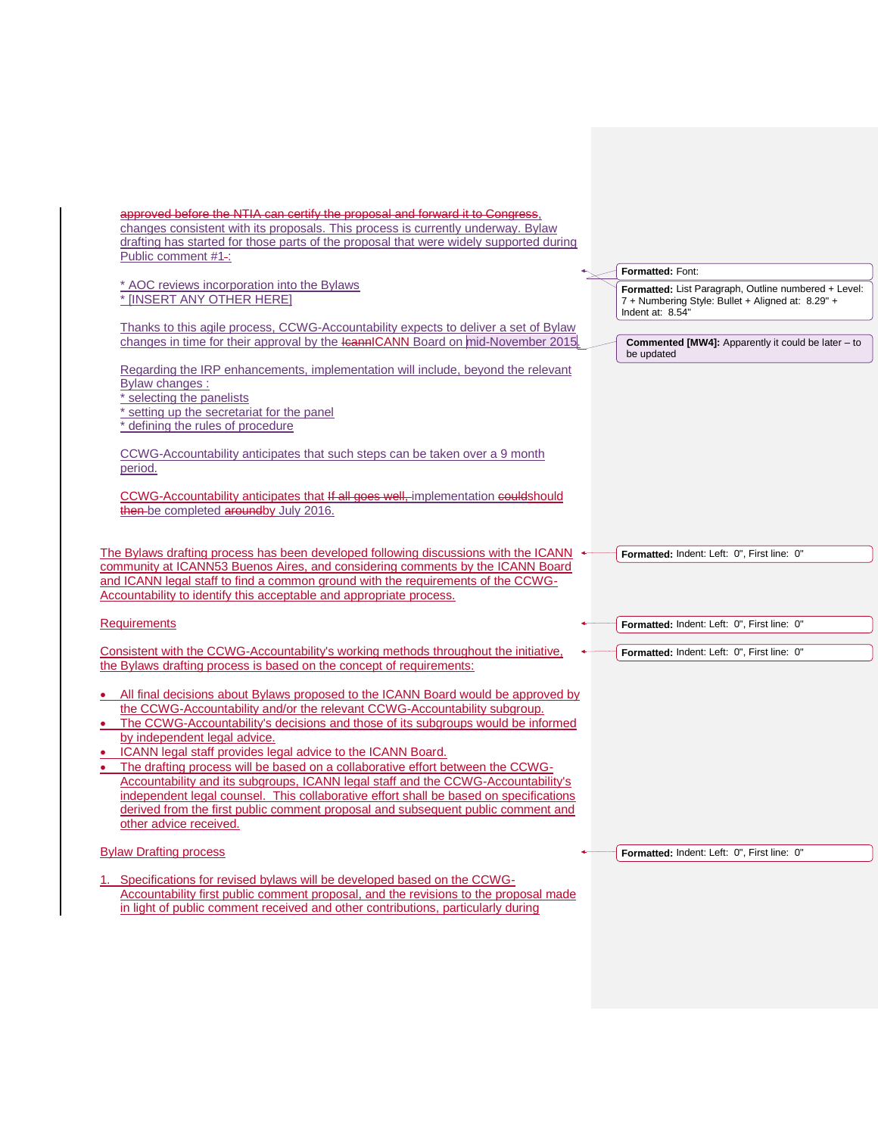| approved before the NTIA can certify the proposal and forward it to Congress.                                                                                                                                                                                                                                                    |                                                                                                                               |
|----------------------------------------------------------------------------------------------------------------------------------------------------------------------------------------------------------------------------------------------------------------------------------------------------------------------------------|-------------------------------------------------------------------------------------------------------------------------------|
| changes consistent with its proposals. This process is currently underway. Bylaw<br>drafting has started for those parts of the proposal that were widely supported during                                                                                                                                                       |                                                                                                                               |
| Public comment #1-:                                                                                                                                                                                                                                                                                                              |                                                                                                                               |
|                                                                                                                                                                                                                                                                                                                                  | Formatted: Font:                                                                                                              |
| * AOC reviews incorporation into the Bylaws<br>* [INSERT ANY OTHER HERE]                                                                                                                                                                                                                                                         | Formatted: List Paragraph, Outline numbered + Level:<br>7 + Numbering Style: Bullet + Aligned at: 8.29" +<br>Indent at: 8.54" |
| Thanks to this agile process, CCWG-Accountability expects to deliver a set of Bylaw                                                                                                                                                                                                                                              |                                                                                                                               |
| changes in time for their approval by the leannICANN Board on mid-November 2015.                                                                                                                                                                                                                                                 | <b>Commented [MW4]:</b> Apparently it could be later – to<br>be updated                                                       |
| Regarding the IRP enhancements, implementation will include, beyond the relevant<br>Bylaw changes:                                                                                                                                                                                                                               |                                                                                                                               |
| selecting the panelists                                                                                                                                                                                                                                                                                                          |                                                                                                                               |
| setting up the secretariat for the panel<br>defining the rules of procedure                                                                                                                                                                                                                                                      |                                                                                                                               |
| CCWG-Accountability anticipates that such steps can be taken over a 9 month<br>period.                                                                                                                                                                                                                                           |                                                                                                                               |
| CCWG-Accountability anticipates that If all goes well, implementation couldshould<br>then-be completed aroundby July 2016.                                                                                                                                                                                                       |                                                                                                                               |
| The Bylaws drafting process has been developed following discussions with the ICANN<br>community at ICANN53 Buenos Aires, and considering comments by the ICANN Board<br>and ICANN legal staff to find a common ground with the requirements of the CCWG-<br>Accountability to identify this acceptable and appropriate process. | Formatted: Indent: Left: 0", First line: 0"                                                                                   |
| <b>Requirements</b>                                                                                                                                                                                                                                                                                                              | Formatted: Indent: Left: 0", First line: 0"                                                                                   |
| Consistent with the CCWG-Accountability's working methods throughout the initiative,<br>the Bylaws drafting process is based on the concept of requirements:                                                                                                                                                                     | Formatted: Indent: Left: 0", First line: 0"                                                                                   |
| • All final decisions about Bylaws proposed to the ICANN Board would be approved by<br>the CCWG-Accountability and/or the relevant CCWG-Accountability subgroup.                                                                                                                                                                 |                                                                                                                               |
| • The CCWG-Accountability's decisions and those of its subgroups would be informed                                                                                                                                                                                                                                               |                                                                                                                               |
| by independent legal advice.                                                                                                                                                                                                                                                                                                     |                                                                                                                               |
| • ICANN legal staff provides legal advice to the ICANN Board.                                                                                                                                                                                                                                                                    |                                                                                                                               |
| • The drafting process will be based on a collaborative effort between the CCWG-<br>Accountability and its subgroups, ICANN legal staff and the CCWG-Accountability's                                                                                                                                                            |                                                                                                                               |
| independent legal counsel. This collaborative effort shall be based on specifications                                                                                                                                                                                                                                            |                                                                                                                               |
| derived from the first public comment proposal and subsequent public comment and                                                                                                                                                                                                                                                 |                                                                                                                               |
| other advice received.                                                                                                                                                                                                                                                                                                           |                                                                                                                               |
| <b>Bylaw Drafting process</b>                                                                                                                                                                                                                                                                                                    | Formatted: Indent: Left: 0", First line: 0"                                                                                   |
| 1. Specifications for revised by laws will be developed based on the CCWG-                                                                                                                                                                                                                                                       |                                                                                                                               |
| Accountability first public comment proposal, and the revisions to the proposal made                                                                                                                                                                                                                                             |                                                                                                                               |
| in light of public comment received and other contributions, particularly during                                                                                                                                                                                                                                                 |                                                                                                                               |
|                                                                                                                                                                                                                                                                                                                                  |                                                                                                                               |